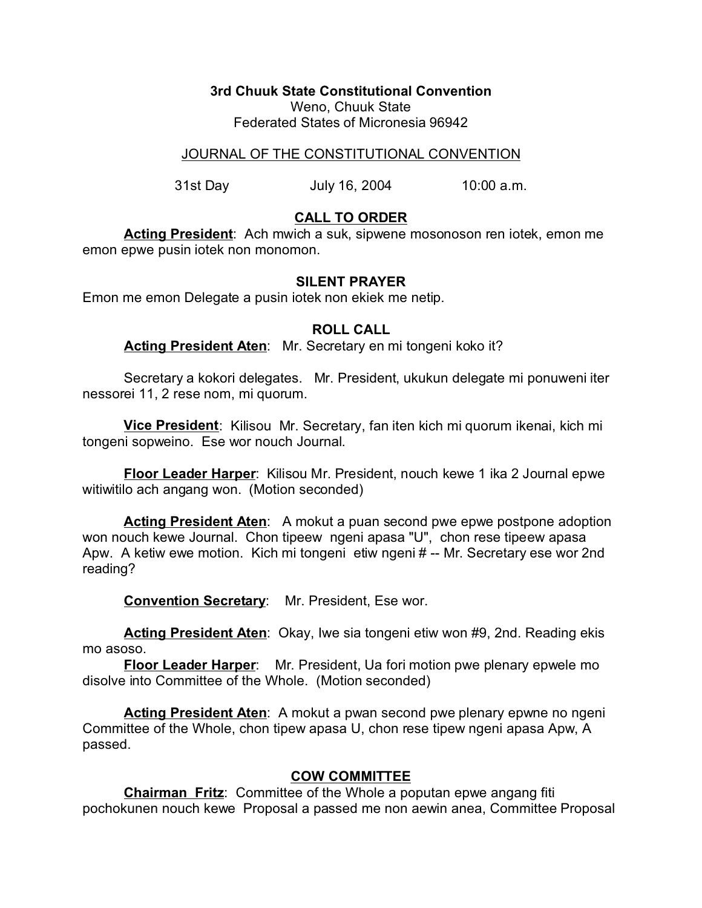**3rd Chuuk State Constitutional Convention**

Weno, Chuuk State Federated States of Micronesia 96942

# JOURNAL OF THE CONSTITUTIONAL CONVENTION

31st Day July 16, 2004 10:00 a.m.

# **CALL TO ORDER**

**Acting President**: Ach mwich a suk, sipwene mosonoson ren iotek, emon me emon epwe pusin iotek non monomon.

### **SILENT PRAYER**

Emon me emon Delegate a pusin iotek non ekiek me netip.

#### **ROLL CALL**

**Acting President Aten**: Mr. Secretary en mi tongeni koko it?

Secretary a kokori delegates. Mr. President, ukukun delegate mi ponuweni iter nessorei 11, 2 rese nom, mi quorum.

**Vice President**: Kilisou Mr. Secretary, fan iten kich mi quorum ikenai, kich mi tongeni sopweino. Ese wor nouch Journal.

**Floor Leader Harper**: Kilisou Mr. President, nouch kewe 1 ika 2 Journal epwe witiwitilo ach angang won. (Motion seconded)

**Acting President Aten:** A mokut a puan second pwe epwe postpone adoption won nouch kewe Journal. Chon tipeew ngeni apasa "U", chon rese tipeew apasa Apw. A ketiw ewe motion. Kich mi tongeni etiw ngeni # -- Mr. Secretary ese wor 2nd reading?

**Convention Secretary**: Mr. President, Ese wor.

**Acting President Aten**: Okay, Iwe sia tongeni etiw won #9, 2nd. Reading ekis mo asoso.

**Floor Leader Harper**: Mr. President, Ua fori motion pwe plenary epwele mo disolve into Committee of the Whole. (Motion seconded)

Acting President Aten: A mokut a pwan second pwe plenary epwne no ngeni Committee of the Whole, chon tipew apasa U, chon rese tipew ngeni apasa Apw, A passed.

# **COW COMMITTEE**

**Chairman Fritz**: Committee of the Whole a poputan epwe angang fiti pochokunen nouch kewe Proposal a passed me non aewin anea, Committee Proposal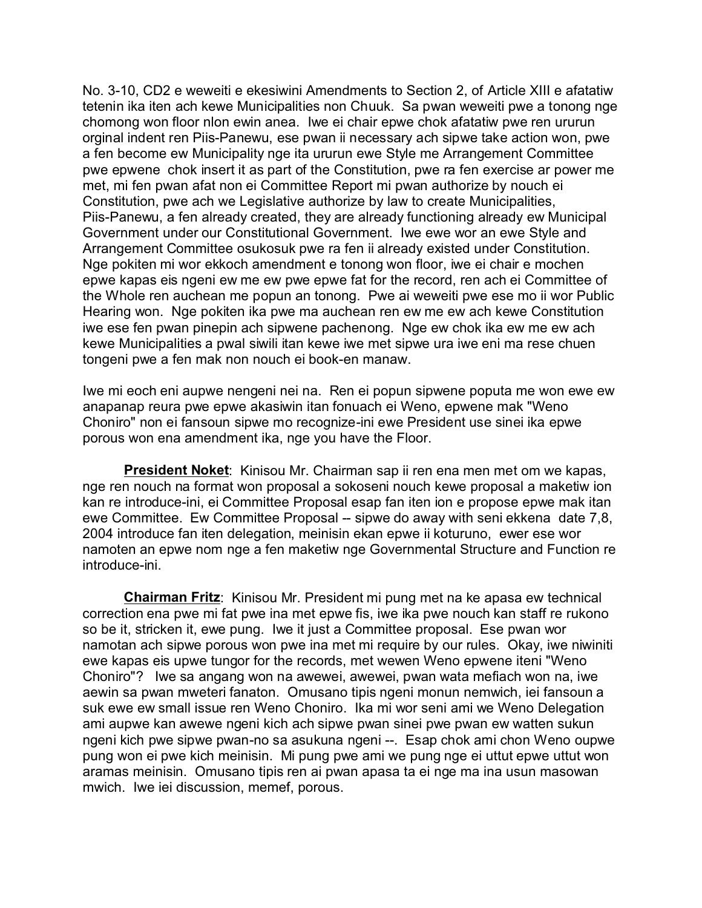No. 3-10, CD2 e weweiti e ekesiwini Amendments to Section 2, of Article XIII e afatatiw tetenin ika iten ach kewe Municipalities non Chuuk. Sa pwan weweiti pwe a tonong nge chomong won floor nlon ewin anea. Iwe ei chair epwe chok afatatiw pwe ren ururun orginal indent ren Piis-Panewu, ese pwan ii necessary ach sipwe take action won, pwe a fen become ew Municipality nge ita ururun ewe Style me Arrangement Committee pwe epwene chok insert it as part of the Constitution, pwe ra fen exercise ar power me met, mi fen pwan afat non ei Committee Report mi pwan authorize by nouch ei Constitution, pwe ach we Legislative authorize by law to create Municipalities, Piis-Panewu, a fen already created, they are already functioning already ew Municipal Government under our Constitutional Government. Iwe ewe wor an ewe Style and Arrangement Committee osukosuk pwe ra fen ii already existed under Constitution. Nge pokiten mi wor ekkoch amendment e tonong won floor, iwe ei chair e mochen epwe kapas eis ngeni ew me ew pwe epwe fat for the record, ren ach ei Committee of the Whole ren auchean me popun an tonong. Pwe ai weweiti pwe ese mo ii wor Public Hearing won. Nge pokiten ika pwe ma auchean ren ew me ew ach kewe Constitution iwe ese fen pwan pinepin ach sipwene pachenong. Nge ew chok ika ew me ew ach kewe Municipalities a pwal siwili itan kewe iwe met sipwe ura iwe eni ma rese chuen tongeni pwe a fen mak non nouch ei book-en manaw.

Iwe mi eoch eni aupwe nengeni nei na. Ren ei popun sipwene poputa me won ewe ew anapanap reura pwe epwe akasiwin itan fonuach ei Weno, epwene mak "Weno Choniro" non ei fansoun sipwe mo recognize-ini ewe President use sinei ika epwe porous won ena amendment ika, nge you have the Floor.

**President Noket**: Kinisou Mr. Chairman sap ii ren ena men met om we kapas, nge ren nouch na format won proposal a sokoseni nouch kewe proposal a maketiw ion kan re introduce-ini, ei Committee Proposal esap fan iten ion e propose epwe mak itan ewe Committee. Ew Committee Proposal -- sipwe do away with seni ekkena date 7,8, 2004 introduce fan iten delegation, meinisin ekan epwe ii koturuno, ewer ese wor namoten an epwe nom nge a fen maketiw nge Governmental Structure and Function re introduce-ini.

**Chairman Fritz**: Kinisou Mr. President mi pung met na ke apasa ew technical correction ena pwe mi fat pwe ina met epwe fis, iwe ika pwe nouch kan staff re rukono so be it, stricken it, ewe pung. Iwe it just a Committee proposal. Ese pwan wor namotan ach sipwe porous won pwe ina met mi require by our rules. Okay, iwe niwiniti ewe kapas eis upwe tungor for the records, met wewen Weno epwene iteni "Weno Choniro"? Iwe sa angang won na awewei, awewei, pwan wata mefiach won na, iwe aewin sa pwan mweteri fanaton. Omusano tipis ngeni monun nemwich, iei fansoun a suk ewe ew small issue ren Weno Choniro. Ika mi wor seni ami we Weno Delegation ami aupwe kan awewe ngeni kich ach sipwe pwan sinei pwe pwan ew watten sukun ngeni kich pwe sipwe pwan-no sa asukuna ngeni --. Esap chok ami chon Weno oupwe pung won ei pwe kich meinisin. Mi pung pwe ami we pung nge ei uttut epwe uttut won aramas meinisin. Omusano tipis ren ai pwan apasa ta ei nge ma ina usun masowan mwich. Iwe iei discussion, memef, porous.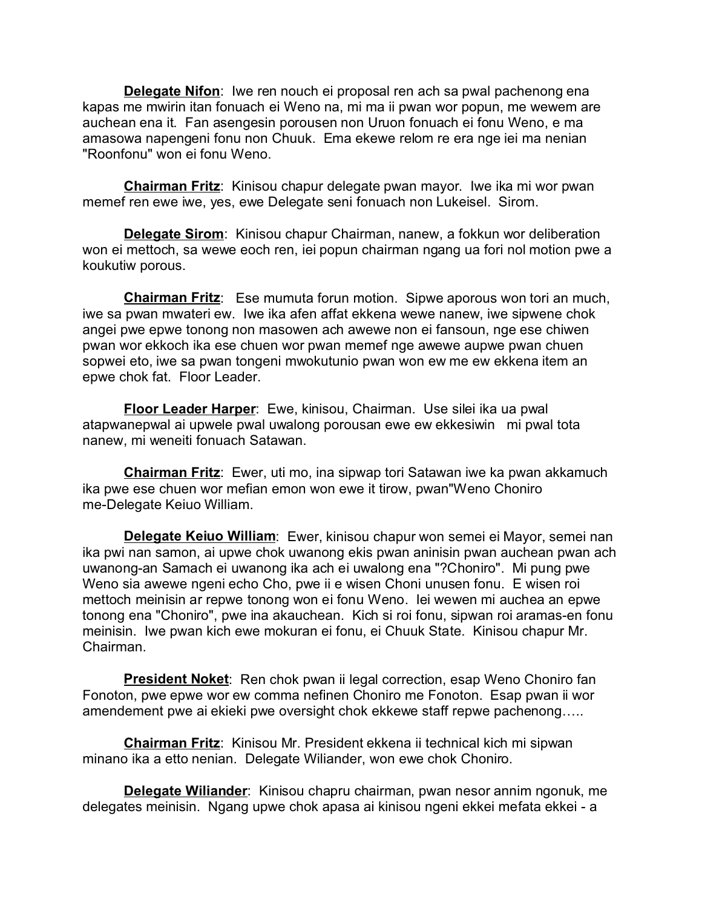**Delegate Nifon**: Iwe ren nouch ei proposal ren ach sa pwal pachenong ena kapas me mwirin itan fonuach ei Weno na, mi ma ii pwan wor popun, me wewem are auchean ena it. Fan asengesin porousen non Uruon fonuach ei fonu Weno, e ma amasowa napengeni fonu non Chuuk. Ema ekewe relom re era nge iei ma nenian "Roonfonu" won ei fonu Weno.

**Chairman Fritz**: Kinisou chapur delegate pwan mayor. Iwe ika mi wor pwan memef ren ewe iwe, yes, ewe Delegate seni fonuach non Lukeisel. Sirom.

**Delegate Sirom**: Kinisou chapur Chairman, nanew, a fokkun wor deliberation won ei mettoch, sa wewe eoch ren, iei popun chairman ngang ua fori nol motion pwe a koukutiw porous.

**Chairman Fritz**: Ese mumuta forun motion. Sipwe aporous won tori an much, iwe sa pwan mwateri ew. Iwe ika afen affat ekkena wewe nanew, iwe sipwene chok angei pwe epwe tonong non masowen ach awewe non ei fansoun, nge ese chiwen pwan wor ekkoch ika ese chuen wor pwan memef nge awewe aupwe pwan chuen sopwei eto, iwe sa pwan tongeni mwokutunio pwan won ew me ew ekkena item an epwe chok fat. Floor Leader.

**Floor Leader Harper**: Ewe, kinisou, Chairman. Use silei ika ua pwal atapwanepwal ai upwele pwal uwalong porousan ewe ew ekkesiwin mi pwal tota nanew, mi weneiti fonuach Satawan.

**Chairman Fritz**: Ewer, uti mo, ina sipwap tori Satawan iwe ka pwan akkamuch ika pwe ese chuen wor mefian emon won ewe it tirow, pwan"Weno Choniro me-Delegate Keiuo William.

**Delegate Keiuo William**: Ewer, kinisou chapur won semei ei Mayor, semei nan ika pwi nan samon, ai upwe chok uwanong ekis pwan aninisin pwan auchean pwan ach uwanong-an Samach ei uwanong ika ach ei uwalong ena "?Choniro". Mi pung pwe Weno sia awewe ngeni echo Cho, pwe ii e wisen Choni unusen fonu. E wisen roi mettoch meinisin ar repwe tonong won ei fonu Weno. Iei wewen mi auchea an epwe tonong ena "Choniro", pwe ina akauchean. Kich si roi fonu, sipwan roi aramas-en fonu meinisin. Iwe pwan kich ewe mokuran ei fonu, ei Chuuk State. Kinisou chapur Mr. Chairman.

**President Noket:** Ren chok pwan ii legal correction, esap Weno Choniro fan Fonoton, pwe epwe wor ew comma nefinen Choniro me Fonoton. Esap pwan ii wor amendement pwe ai ekieki pwe oversight chok ekkewe staff repwe pachenong…..

**Chairman Fritz**: Kinisou Mr. President ekkena ii technical kich mi sipwan minano ika a etto nenian. Delegate Wiliander, won ewe chok Choniro.

**Delegate Wiliander**: Kinisou chapru chairman, pwan nesor annim ngonuk, me delegates meinisin. Ngang upwe chok apasa ai kinisou ngeni ekkei mefata ekkei - a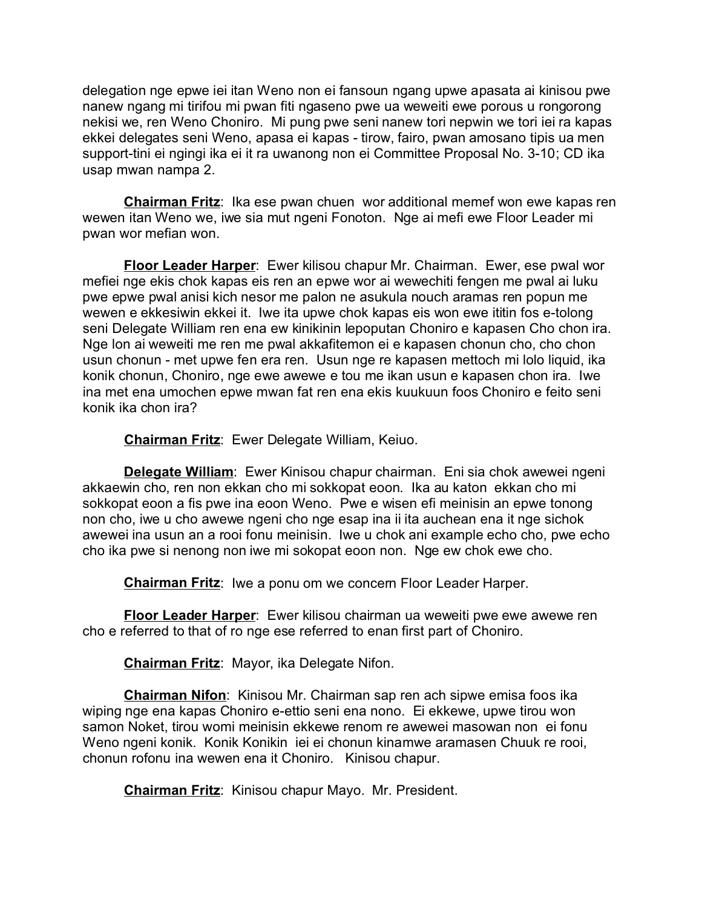delegation nge epwe iei itan Weno non ei fansoun ngang upwe apasata ai kinisou pwe nanew ngang mi tirifou mi pwan fiti ngaseno pwe ua weweiti ewe porous u rongorong nekisi we, ren Weno Choniro. Mi pung pwe seni nanew tori nepwin we tori iei ra kapas ekkei delegates seni Weno, apasa ei kapas - tirow, fairo, pwan amosano tipis ua men support-tini ei ngingi ika ei it ra uwanong non ei Committee Proposal No. 3-10; CD ika usap mwan nampa 2.

**Chairman Fritz**: Ika ese pwan chuen wor additional memef won ewe kapas ren wewen itan Weno we, iwe sia mut ngeni Fonoton. Nge ai mefi ewe Floor Leader mi pwan wor mefian won.

**Floor Leader Harper**: Ewer kilisou chapur Mr. Chairman. Ewer, ese pwal wor mefiei nge ekis chok kapas eis ren an epwe wor ai wewechiti fengen me pwal ai luku pwe epwe pwal anisi kich nesor me palon ne asukula nouch aramas ren popun me wewen e ekkesiwin ekkei it. Iwe ita upwe chok kapas eis won ewe ititin fos e-tolong seni Delegate William ren ena ew kinikinin lepoputan Choniro e kapasen Cho chon ira. Nge lon ai weweiti me ren me pwal akkafitemon ei e kapasen chonun cho, cho chon usun chonun - met upwe fen era ren. Usun nge re kapasen mettoch mi lolo liquid, ika konik chonun, Choniro, nge ewe awewe e tou me ikan usun e kapasen chon ira. Iwe ina met ena umochen epwe mwan fat ren ena ekis kuukuun foos Choniro e feito seni konik ika chon ira?

**Chairman Fritz**: Ewer Delegate William, Keiuo.

**Delegate William**: Ewer Kinisou chapur chairman. Eni sia chok awewei ngeni akkaewin cho, ren non ekkan cho mi sokkopat eoon. Ika au katon ekkan cho mi sokkopat eoon a fis pwe ina eoon Weno. Pwe e wisen efi meinisin an epwe tonong non cho, iwe u cho awewe ngeni cho nge esap ina ii ita auchean ena it nge sichok awewei ina usun an a rooi fonu meinisin. Iwe u chok ani example echo cho, pwe echo cho ika pwe si nenong non iwe mi sokopat eoon non. Nge ew chok ewe cho.

**Chairman Fritz**: Iwe a ponu om we concern Floor Leader Harper.

**Floor Leader Harper**: Ewer kilisou chairman ua weweiti pwe ewe awewe ren cho e referred to that of ro nge ese referred to enan first part of Choniro.

**Chairman Fritz**: Mayor, ika Delegate Nifon.

**Chairman Nifon**: Kinisou Mr. Chairman sap ren ach sipwe emisa foos ika wiping nge ena kapas Choniro e-ettio seni ena nono. Ei ekkewe, upwe tirou won samon Noket, tirou womi meinisin ekkewe renom re awewei masowan non ei fonu Weno ngeni konik. Konik Konikin iei ei chonun kinamwe aramasen Chuuk re rooi, chonun rofonu ina wewen ena it Choniro. Kinisou chapur.

**Chairman Fritz**: Kinisou chapur Mayo. Mr. President.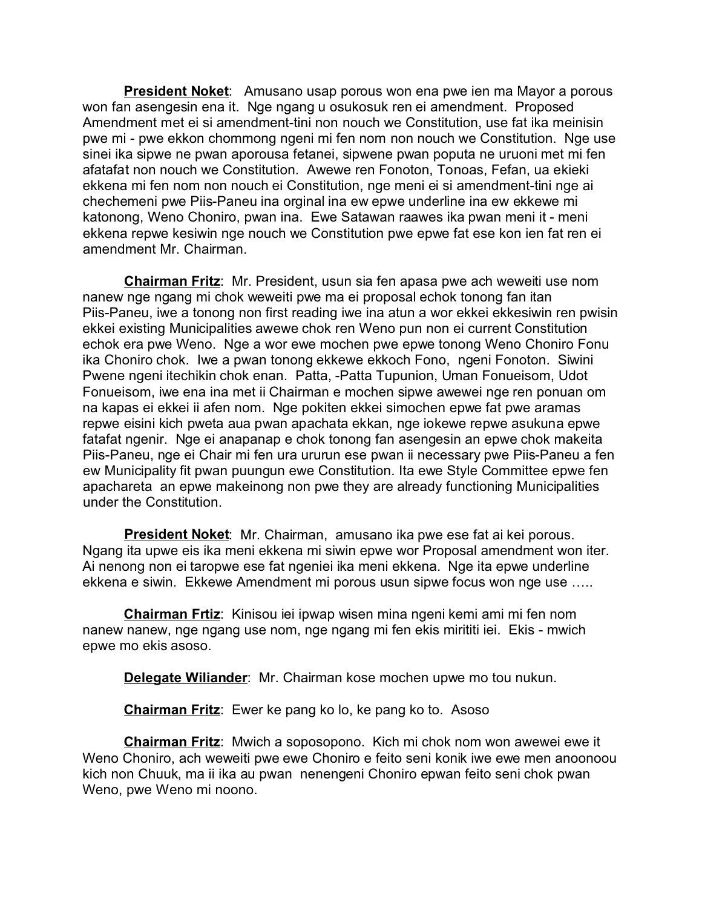**President Noket**: Amusano usap porous won ena pwe ien ma Mayor a porous won fan asengesin ena it. Nge ngang u osukosuk ren ei amendment. Proposed Amendment met ei si amendment-tini non nouch we Constitution, use fat ika meinisin pwe mi - pwe ekkon chommong ngeni mi fen nom non nouch we Constitution. Nge use sinei ika sipwe ne pwan aporousa fetanei, sipwene pwan poputa ne uruoni met mi fen afatafat non nouch we Constitution. Awewe ren Fonoton, Tonoas, Fefan, ua ekieki ekkena mi fen nom non nouch ei Constitution, nge meni ei si amendment-tini nge ai chechemeni pwe Piis-Paneu ina orginal ina ew epwe underline ina ew ekkewe mi katonong, Weno Choniro, pwan ina. Ewe Satawan raawes ika pwan meni it - meni ekkena repwe kesiwin nge nouch we Constitution pwe epwe fat ese kon ien fat ren ei amendment Mr. Chairman.

**Chairman Fritz**: Mr. President, usun sia fen apasa pwe ach weweiti use nom nanew nge ngang mi chok weweiti pwe ma ei proposal echok tonong fan itan Piis-Paneu, iwe a tonong non first reading iwe ina atun a wor ekkei ekkesiwin ren pwisin ekkei existing Municipalities awewe chok ren Weno pun non ei current Constitution echok era pwe Weno. Nge a wor ewe mochen pwe epwe tonong Weno Choniro Fonu ika Choniro chok. Iwe a pwan tonong ekkewe ekkoch Fono, ngeni Fonoton. Siwini Pwene ngeni itechikin chok enan. Patta, -Patta Tupunion, Uman Fonueisom, Udot Fonueisom, iwe ena ina met ii Chairman e mochen sipwe awewei nge ren ponuan om na kapas ei ekkei ii afen nom. Nge pokiten ekkei simochen epwe fat pwe aramas repwe eisini kich pweta aua pwan apachata ekkan, nge iokewe repwe asukuna epwe fatafat ngenir. Nge ei anapanap e chok tonong fan asengesin an epwe chok makeita Piis-Paneu, nge ei Chair mi fen ura ururun ese pwan ii necessary pwe Piis-Paneu a fen ew Municipality fit pwan puungun ewe Constitution. Ita ewe Style Committee epwe fen apachareta an epwe makeinong non pwe they are already functioning Municipalities under the Constitution.

**President Noket**: Mr. Chairman, amusano ika pwe ese fat ai kei porous. Ngang ita upwe eis ika meni ekkena mi siwin epwe wor Proposal amendment won iter. Ai nenong non ei taropwe ese fat ngeniei ika meni ekkena. Nge ita epwe underline ekkena e siwin. Ekkewe Amendment mi porous usun sipwe focus won nge use …..

**Chairman Frtiz**: Kinisou iei ipwap wisen mina ngeni kemi ami mi fen nom nanew nanew, nge ngang use nom, nge ngang mi fen ekis mirititi iei. Ekis - mwich epwe mo ekis asoso.

**Delegate Wiliander**: Mr. Chairman kose mochen upwe mo tou nukun.

**Chairman Fritz**: Ewer ke pang ko lo, ke pang ko to. Asoso

**Chairman Fritz**: Mwich a soposopono. Kich mi chok nom won awewei ewe it Weno Choniro, ach weweiti pwe ewe Choniro e feito seni konik iwe ewe men anoonoou kich non Chuuk, ma ii ika au pwan nenengeni Choniro epwan feito seni chok pwan Weno, pwe Weno mi noono.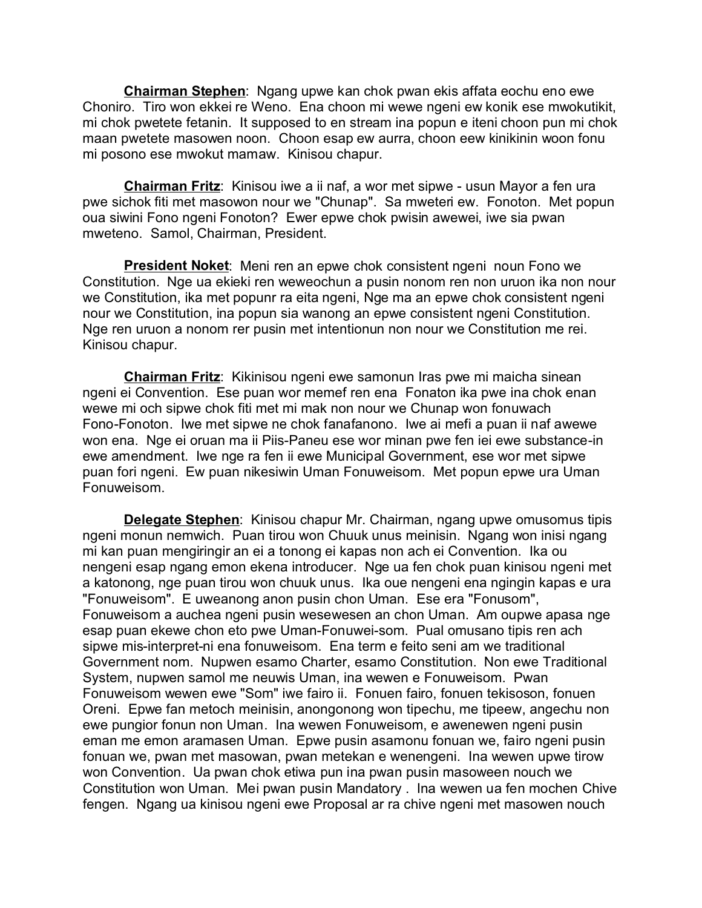**Chairman Stephen**: Ngang upwe kan chok pwan ekis affata eochu eno ewe Choniro. Tiro won ekkei re Weno. Ena choon mi wewe ngeni ew konik ese mwokutikit, mi chok pwetete fetanin. It supposed to en stream ina popun e iteni choon pun mi chok maan pwetete masowen noon. Choon esap ew aurra, choon eew kinikinin woon fonu mi posono ese mwokut mamaw. Kinisou chapur.

**Chairman Fritz**: Kinisou iwe a ii naf, a wor met sipwe - usun Mayor a fen ura pwe sichok fiti met masowon nour we "Chunap". Sa mweteri ew. Fonoton. Met popun oua siwini Fono ngeni Fonoton? Ewer epwe chok pwisin awewei, iwe sia pwan mweteno. Samol, Chairman, President.

**President Noket**: Meni ren an epwe chok consistent ngeni noun Fono we Constitution. Nge ua ekieki ren weweochun a pusin nonom ren non uruon ika non nour we Constitution, ika met popunr ra eita ngeni, Nge ma an epwe chok consistent ngeni nour we Constitution, ina popun sia wanong an epwe consistent ngeni Constitution. Nge ren uruon a nonom rer pusin met intentionun non nour we Constitution me rei. Kinisou chapur.

**Chairman Fritz**: Kikinisou ngeni ewe samonun Iras pwe mi maicha sinean ngeni ei Convention. Ese puan wor memef ren ena Fonaton ika pwe ina chok enan wewe mi och sipwe chok fiti met mi mak non nour we Chunap won fonuwach Fono-Fonoton. Iwe met sipwe ne chok fanafanono. Iwe ai mefi a puan ii naf awewe won ena. Nge ei oruan ma ii Piis-Paneu ese wor minan pwe fen iei ewe substance-in ewe amendment. Iwe nge ra fen ii ewe Municipal Government, ese wor met sipwe puan fori ngeni. Ew puan nikesiwin Uman Fonuweisom. Met popun epwe ura Uman Fonuweisom.

**Delegate Stephen**: Kinisou chapur Mr. Chairman, ngang upwe omusomus tipis ngeni monun nemwich. Puan tirou won Chuuk unus meinisin. Ngang won inisi ngang mi kan puan mengiringir an ei a tonong ei kapas non ach ei Convention. Ika ou nengeni esap ngang emon ekena introducer. Nge ua fen chok puan kinisou ngeni met a katonong, nge puan tirou won chuuk unus. Ika oue nengeni ena ngingin kapas e ura "Fonuweisom". E uweanong anon pusin chon Uman. Ese era "Fonusom", Fonuweisom a auchea ngeni pusin wesewesen an chon Uman. Am oupwe apasa nge esap puan ekewe chon eto pwe Uman-Fonuwei-som. Pual omusano tipis ren ach sipwe mis-interpret-ni ena fonuweisom. Ena term e feito seni am we traditional Government nom. Nupwen esamo Charter, esamo Constitution. Non ewe Traditional System, nupwen samol me neuwis Uman, ina wewen e Fonuweisom. Pwan Fonuweisom wewen ewe "Som" iwe fairo ii. Fonuen fairo, fonuen tekisoson, fonuen Oreni. Epwe fan metoch meinisin, anongonong won tipechu, me tipeew, angechu non ewe pungior fonun non Uman. Ina wewen Fonuweisom, e awenewen ngeni pusin eman me emon aramasen Uman. Epwe pusin asamonu fonuan we, fairo ngeni pusin fonuan we, pwan met masowan, pwan metekan e wenengeni. Ina wewen upwe tirow won Convention. Ua pwan chok etiwa pun ina pwan pusin masoween nouch we Constitution won Uman. Mei pwan pusin Mandatory . Ina wewen ua fen mochen Chive fengen. Ngang ua kinisou ngeni ewe Proposal ar ra chive ngeni met masowen nouch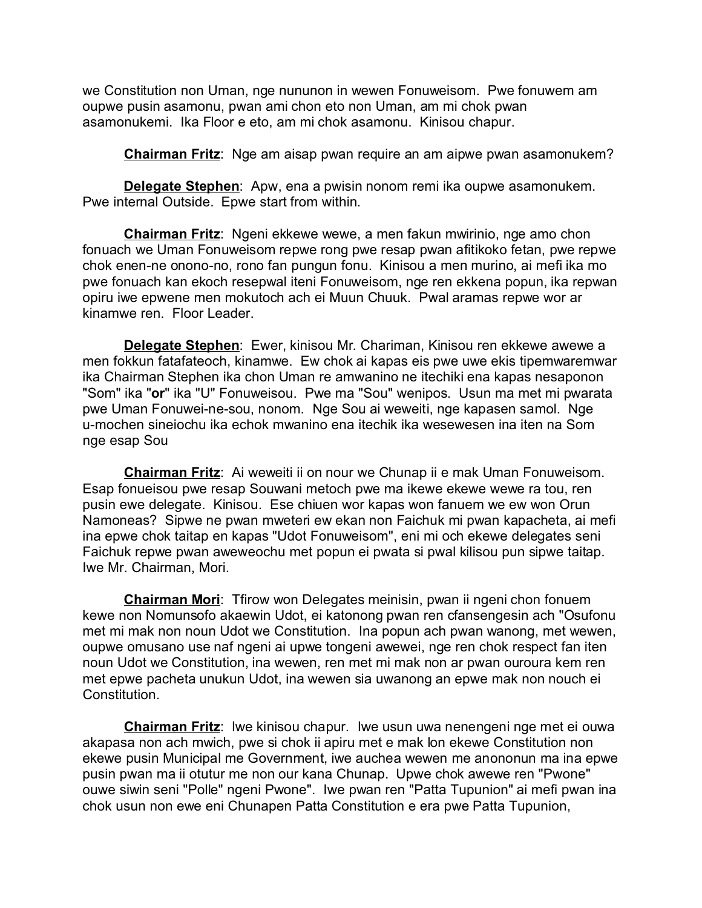we Constitution non Uman, nge nununon in wewen Fonuweisom. Pwe fonuwem am oupwe pusin asamonu, pwan ami chon eto non Uman, am mi chok pwan asamonukemi. Ika Floor e eto, am mi chok asamonu. Kinisou chapur.

**Chairman Fritz**: Nge am aisap pwan require an am aipwe pwan asamonukem?

**Delegate Stephen**: Apw, ena a pwisin nonom remi ika oupwe asamonukem. Pwe internal Outside. Epwe start from within.

**Chairman Fritz**: Ngeni ekkewe wewe, a men fakun mwirinio, nge amo chon fonuach we Uman Fonuweisom repwe rong pwe resap pwan afitikoko fetan, pwe repwe chok enen-ne onono-no, rono fan pungun fonu. Kinisou a men murino, ai mefi ika mo pwe fonuach kan ekoch resepwal iteni Fonuweisom, nge ren ekkena popun, ika repwan opiru iwe epwene men mokutoch ach ei Muun Chuuk. Pwal aramas repwe wor ar kinamwe ren. Floor Leader.

**Delegate Stephen**: Ewer, kinisou Mr. Chariman, Kinisou ren ekkewe awewe a men fokkun fatafateoch, kinamwe. Ew chok ai kapas eis pwe uwe ekis tipemwaremwar ika Chairman Stephen ika chon Uman re amwanino ne itechiki ena kapas nesaponon "Som" ika "**or**" ika "U" Fonuweisou. Pwe ma "Sou" wenipos. Usun ma met mi pwarata pwe Uman Fonuwei-ne-sou, nonom. Nge Sou ai weweiti, nge kapasen samol. Nge u-mochen sineiochu ika echok mwanino ena itechik ika wesewesen ina iten na Som nge esap Sou

**Chairman Fritz**: Ai weweiti ii on nour we Chunap ii e mak Uman Fonuweisom. Esap fonueisou pwe resap Souwani metoch pwe ma ikewe ekewe wewe ra tou, ren pusin ewe delegate. Kinisou. Ese chiuen wor kapas won fanuem we ew won Orun Namoneas? Sipwe ne pwan mweteri ew ekan non Faichuk mi pwan kapacheta, ai mefi ina epwe chok taitap en kapas "Udot Fonuweisom", eni mi och ekewe delegates seni Faichuk repwe pwan aweweochu met popun ei pwata si pwal kilisou pun sipwe taitap. Iwe Mr. Chairman, Mori.

**Chairman Mori**: Tfirow won Delegates meinisin, pwan ii ngeni chon fonuem kewe non Nomunsofo akaewin Udot, ei katonong pwan ren cfansengesin ach "Osufonu met mi mak non noun Udot we Constitution. Ina popun ach pwan wanong, met wewen, oupwe omusano use naf ngeni ai upwe tongeni awewei, nge ren chok respect fan iten noun Udot we Constitution, ina wewen, ren met mi mak non ar pwan ouroura kem ren met epwe pacheta unukun Udot, ina wewen sia uwanong an epwe mak non nouch ei Constitution.

**Chairman Fritz**: Iwe kinisou chapur. Iwe usun uwa nenengeni nge met ei ouwa akapasa non ach mwich, pwe si chok ii apiru met e mak lon ekewe Constitution non ekewe pusin Municipal me Government, iwe auchea wewen me anononun ma ina epwe pusin pwan ma ii otutur me non our kana Chunap. Upwe chok awewe ren "Pwone" ouwe siwin seni "Polle" ngeni Pwone". Iwe pwan ren "Patta Tupunion" ai mefi pwan ina chok usun non ewe eni Chunapen Patta Constitution e era pwe Patta Tupunion,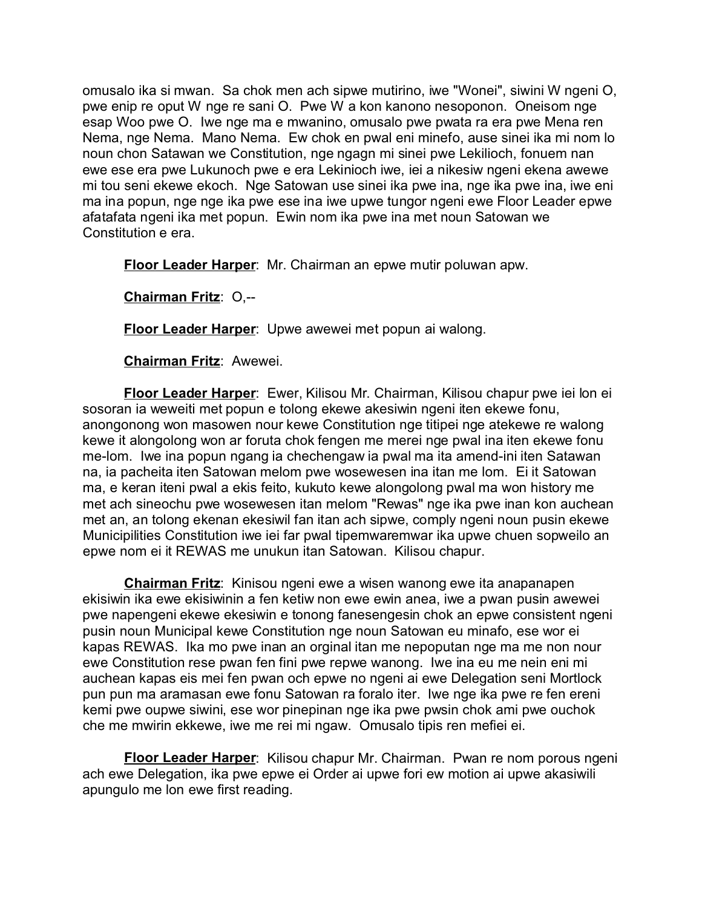omusalo ika si mwan. Sa chok men ach sipwe mutirino, iwe "Wonei", siwini W ngeni O, pwe enip re oput W nge re sani O. Pwe W a kon kanono nesoponon. Oneisom nge esap Woo pwe O. Iwe nge ma e mwanino, omusalo pwe pwata ra era pwe Mena ren Nema, nge Nema. Mano Nema. Ew chok en pwal eni minefo, ause sinei ika mi nom lo noun chon Satawan we Constitution, nge ngagn mi sinei pwe Lekilioch, fonuem nan ewe ese era pwe Lukunoch pwe e era Lekinioch iwe, iei a nikesiw ngeni ekena awewe mi tou seni ekewe ekoch. Nge Satowan use sinei ika pwe ina, nge ika pwe ina, iwe eni ma ina popun, nge nge ika pwe ese ina iwe upwe tungor ngeni ewe Floor Leader epwe afatafata ngeni ika met popun. Ewin nom ika pwe ina met noun Satowan we Constitution e era.

**Floor Leader Harper**: Mr. Chairman an epwe mutir poluwan apw.

**Chairman Fritz**: O,--

**Floor Leader Harper**: Upwe awewei met popun ai walong.

**Chairman Fritz**: Awewei.

**Floor Leader Harper**: Ewer, Kilisou Mr. Chairman, Kilisou chapur pwe iei lon ei sosoran ia weweiti met popun e tolong ekewe akesiwin ngeni iten ekewe fonu, anongonong won masowen nour kewe Constitution nge titipei nge atekewe re walong kewe it alongolong won ar foruta chok fengen me merei nge pwal ina iten ekewe fonu me-lom. Iwe ina popun ngang ia chechengaw ia pwal ma ita amend-ini iten Satawan na, ia pacheita iten Satowan melom pwe wosewesen ina itan me lom. Ei it Satowan ma, e keran iteni pwal a ekis feito, kukuto kewe alongolong pwal ma won history me met ach sineochu pwe wosewesen itan melom "Rewas" nge ika pwe inan kon auchean met an, an tolong ekenan ekesiwil fan itan ach sipwe, comply ngeni noun pusin ekewe Municipilities Constitution iwe iei far pwal tipemwaremwar ika upwe chuen sopweilo an epwe nom ei it REWAS me unukun itan Satowan. Kilisou chapur.

**Chairman Fritz**: Kinisou ngeni ewe a wisen wanong ewe ita anapanapen ekisiwin ika ewe ekisiwinin a fen ketiw non ewe ewin anea, iwe a pwan pusin awewei pwe napengeni ekewe ekesiwin e tonong fanesengesin chok an epwe consistent ngeni pusin noun Municipal kewe Constitution nge noun Satowan eu minafo, ese wor ei kapas REWAS. Ika mo pwe inan an orginal itan me nepoputan nge ma me non nour ewe Constitution rese pwan fen fini pwe repwe wanong. Iwe ina eu me nein eni mi auchean kapas eis mei fen pwan och epwe no ngeni ai ewe Delegation seni Mortlock pun pun ma aramasan ewe fonu Satowan ra foralo iter. Iwe nge ika pwe re fen ereni kemi pwe oupwe siwini, ese wor pinepinan nge ika pwe pwsin chok ami pwe ouchok che me mwirin ekkewe, iwe me rei mi ngaw. Omusalo tipis ren mefiei ei.

**Floor Leader Harper**: Kilisou chapur Mr. Chairman. Pwan re nom porous ngeni ach ewe Delegation, ika pwe epwe ei Order ai upwe fori ew motion ai upwe akasiwili apungulo me lon ewe first reading.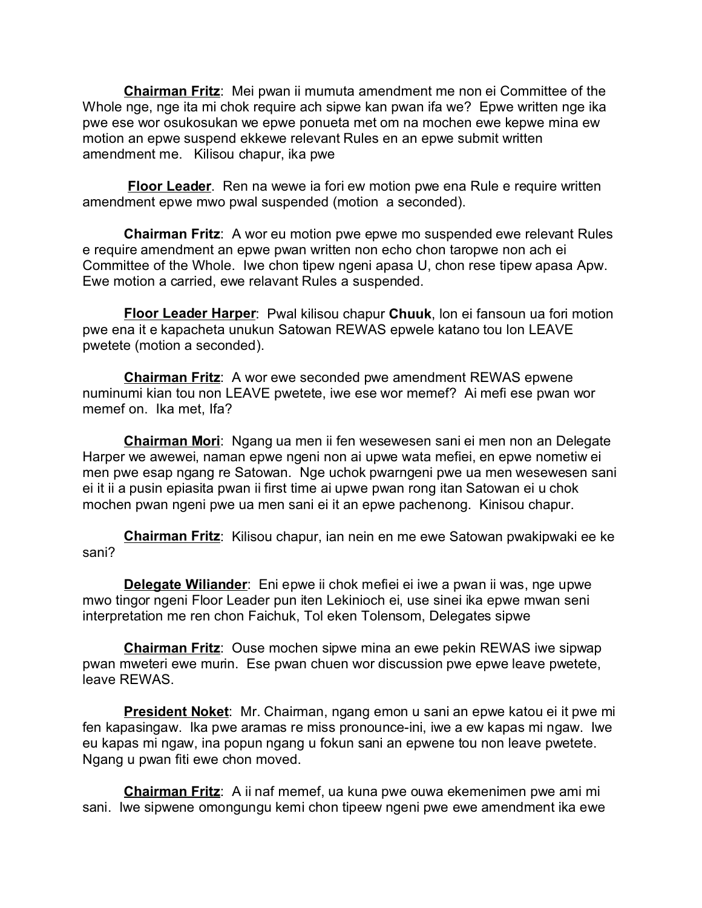**Chairman Fritz**: Mei pwan ii mumuta amendment me non ei Committee of the Whole nge, nge ita mi chok require ach sipwe kan pwan ifa we? Epwe written nge ika pwe ese wor osukosukan we epwe ponueta met om na mochen ewe kepwe mina ew motion an epwe suspend ekkewe relevant Rules en an epwe submit written amendment me. Kilisou chapur, ika pwe

**Floor Leader**. Ren na wewe ia fori ew motion pwe ena Rule e require written amendment epwe mwo pwal suspended (motion a seconded).

**Chairman Fritz**: A wor eu motion pwe epwe mo suspended ewe relevant Rules e require amendment an epwe pwan written non echo chon taropwe non ach ei Committee of the Whole. Iwe chon tipew ngeni apasa U, chon rese tipew apasa Apw. Ewe motion a carried, ewe relavant Rules a suspended.

**Floor Leader Harper**: Pwal kilisou chapur **Chuuk**, lon ei fansoun ua fori motion pwe ena it e kapacheta unukun Satowan REWAS epwele katano tou lon LEAVE pwetete (motion a seconded).

**Chairman Fritz**: A wor ewe seconded pwe amendment REWAS epwene numinumi kian tou non LEAVE pwetete, iwe ese wor memef? Ai mefi ese pwan wor memef on. Ika met, Ifa?

**Chairman Mori**: Ngang ua men ii fen wesewesen sani ei men non an Delegate Harper we awewei, naman epwe ngeni non ai upwe wata mefiei, en epwe nometiw ei men pwe esap ngang re Satowan. Nge uchok pwarngeni pwe ua men wesewesen sani ei it ii a pusin epiasita pwan ii first time ai upwe pwan rong itan Satowan ei u chok mochen pwan ngeni pwe ua men sani ei it an epwe pachenong. Kinisou chapur.

**Chairman Fritz**: Kilisou chapur, ian nein en me ewe Satowan pwakipwaki ee ke sani?

**Delegate Wiliander**: Eni epwe ii chok mefiei ei iwe a pwan ii was, nge upwe mwo tingor ngeni Floor Leader pun iten Lekinioch ei, use sinei ika epwe mwan seni interpretation me ren chon Faichuk, Tol eken Tolensom, Delegates sipwe

**Chairman Fritz**: Ouse mochen sipwe mina an ewe pekin REWAS iwe sipwap pwan mweteri ewe murin. Ese pwan chuen wor discussion pwe epwe leave pwetete, leave REWAS.

**President Noket**: Mr. Chairman, ngang emon u sani an epwe katou ei it pwe mi fen kapasingaw. Ika pwe aramas re miss pronounce-ini, iwe a ew kapas mi ngaw. Iwe eu kapas mi ngaw, ina popun ngang u fokun sani an epwene tou non leave pwetete. Ngang u pwan fiti ewe chon moved.

**Chairman Fritz**: A ii naf memef, ua kuna pwe ouwa ekemenimen pwe ami mi sani. Iwe sipwene omongungu kemi chon tipeew ngeni pwe ewe amendment ika ewe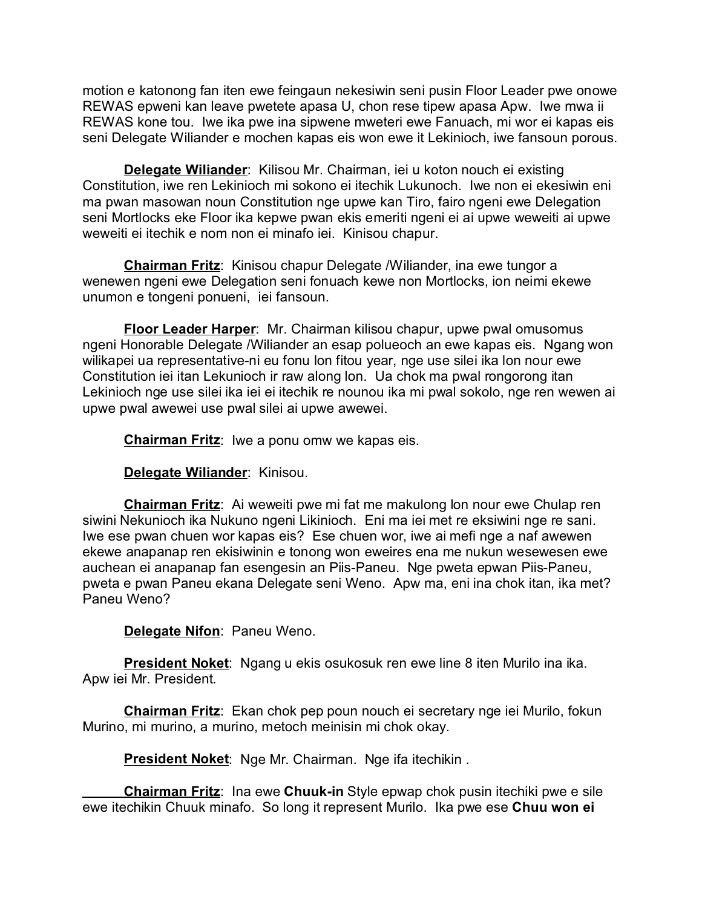motion e katonong fan iten ewe feingaun nekesiwin seni pusin Floor Leader pwe onowe REWAS epweni kan leave pwetete apasa U, chon rese tipew apasa Apw. Iwe mwa ii REWAS kone tou. Iwe ika pwe ina sipwene mweteri ewe Fanuach, mi wor ei kapas eis seni Delegate Wiliander e mochen kapas eis won ewe it Lekinioch, iwe fansoun porous.

**Delegate Wiliander**: Kilisou Mr. Chairman, iei u koton nouch ei existing Constitution, iwe ren Lekinioch mi sokono ei itechik Lukunoch. Iwe non ei ekesiwin eni ma pwan masowan noun Constitution nge upwe kan Tiro, fairo ngeni ewe Delegation seni Mortlocks eke Floor ika kepwe pwan ekis emeriti ngeni ei ai upwe weweiti ai upwe weweiti ei itechik e nom non ei minafo iei. Kinisou chapur.

**Chairman Fritz**: Kinisou chapur Delegate /Wiliander, ina ewe tungor a wenewen ngeni ewe Delegation seni fonuach kewe non Mortlocks, ion neimi ekewe unumon e tongeni ponueni, iei fansoun.

**Floor Leader Harper**: Mr. Chairman kilisou chapur, upwe pwal omusomus ngeni Honorable Delegate /Wiliander an esap polueoch an ewe kapas eis. Ngang won wilikapei ua representative-ni eu fonu lon fitou year, nge use silei ika lon nour ewe Constitution iei itan Lekunioch ir raw along lon. Ua chok ma pwal rongorong itan Lekinioch nge use silei ika iei ei itechik re nounou ika mi pwal sokolo, nge ren wewen ai upwe pwal awewei use pwal silei ai upwe awewei.

**Chairman Fritz**: Iwe a ponu omw we kapas eis.

**Delegate Wiliander**: Kinisou.

**Chairman Fritz**: Ai weweiti pwe mi fat me makulong lon nour ewe Chulap ren siwini Nekunioch ika Nukuno ngeni Likinioch. Eni ma iei met re eksiwini nge re sani. Iwe ese pwan chuen wor kapas eis? Ese chuen wor, iwe ai mefi nge a naf awewen ekewe anapanap ren ekisiwinin e tonong won eweires ena me nukun wesewesen ewe auchean ei anapanap fan esengesin an Piis-Paneu. Nge pweta epwan Piis-Paneu, pweta e pwan Paneu ekana Delegate seni Weno. Apw ma, eni ina chok itan, ika met? Paneu Weno?

**Delegate Nifon**: Paneu Weno.

**President Noket**: Ngang u ekis osukosuk ren ewe line 8 iten Murilo ina ika. Apw iei Mr. President.

**Chairman Fritz**: Ekan chok pep poun nouch ei secretary nge iei Murilo, fokun Murino, mi murino, a murino, metoch meinisin mi chok okay.

**President Noket**: Nge Mr. Chairman. Nge ifa itechikin .

**Chairman Fritz**: Ina ewe **Chuuk-in** Style epwap chok pusin itechiki pwe e sile ewe itechikin Chuuk minafo. So long it represent Murilo. Ika pwe ese **Chuu won ei**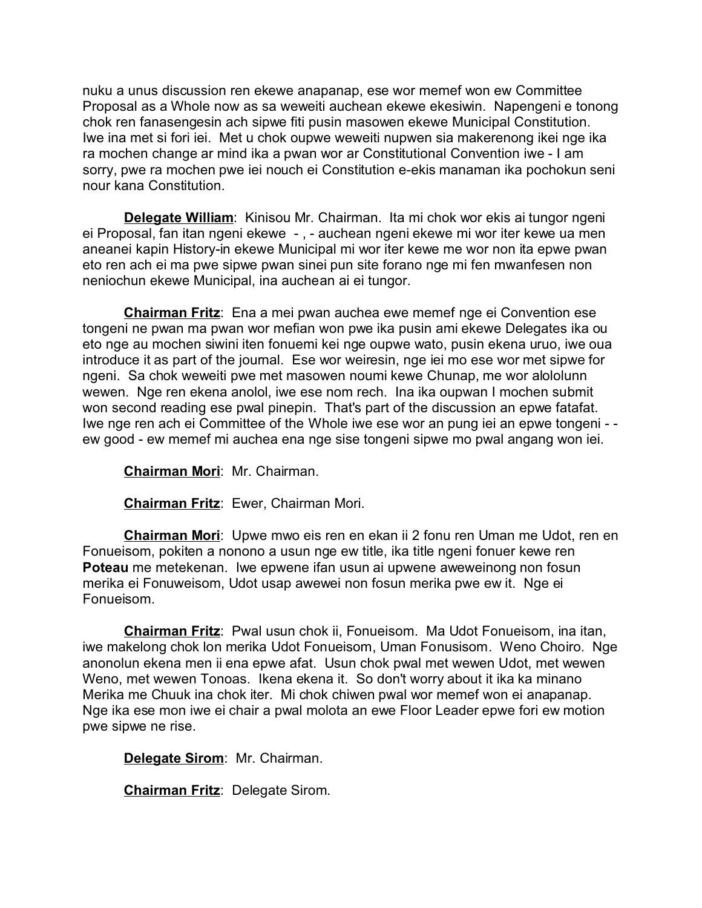nuku a unus discussion ren ekewe anapanap, ese wor memef won ew Committee Proposal as a Whole now as sa weweiti auchean ekewe ekesiwin. Napengeni e tonong chok ren fanasengesin ach sipwe fiti pusin masowen ekewe Municipal Constitution. Iwe ina met si fori iei. Met u chok oupwe weweiti nupwen sia makerenong ikei nge ika ra mochen change ar mind ika a pwan wor ar Constitutional Convention iwe - I am sorry, pwe ra mochen pwe iei nouch ei Constitution e-ekis manaman ika pochokun seni nour kana Constitution.

**Delegate William**: Kinisou Mr. Chairman. Ita mi chok wor ekis ai tungor ngeni ei Proposal, fan itan ngeni ekewe - , - auchean ngeni ekewe mi wor iter kewe ua men aneanei kapin History-in ekewe Municipal mi wor iter kewe me wor non ita epwe pwan eto ren ach ei ma pwe sipwe pwan sinei pun site forano nge mi fen mwanfesen non neniochun ekewe Municipal, ina auchean ai ei tungor.

**Chairman Fritz**: Ena a mei pwan auchea ewe memef nge ei Convention ese tongeni ne pwan ma pwan wor mefian won pwe ika pusin ami ekewe Delegates ika ou eto nge au mochen siwini iten fonuemi kei nge oupwe wato, pusin ekena uruo, iwe oua introduce it as part of the journal. Ese wor weiresin, nge iei mo ese wor met sipwe for ngeni. Sa chok weweiti pwe met masowen noumi kewe Chunap, me wor alololunn wewen. Nge ren ekena anolol, iwe ese nom rech. Ina ika oupwan I mochen submit won second reading ese pwal pinepin. That's part of the discussion an epwe fatafat. Iwe nge ren ach ei Committee of the Whole iwe ese wor an pung iei an epwe tongeni - ew good - ew memef mi auchea ena nge sise tongeni sipwe mo pwal angang won iei.

**Chairman Mori**: Mr. Chairman.

**Chairman Fritz**: Ewer, Chairman Mori.

**Chairman Mori**: Upwe mwo eis ren en ekan ii 2 fonu ren Uman me Udot, ren en Fonueisom, pokiten a nonono a usun nge ew title, ika title ngeni fonuer kewe ren **Poteau** me metekenan. Iwe epwene ifan usun ai upwene aweweinong non fosun merika ei Fonuweisom, Udot usap awewei non fosun merika pwe ew it. Nge ei Fonueisom.

**Chairman Fritz**: Pwal usun chok ii, Fonueisom. Ma Udot Fonueisom, ina itan, iwe makelong chok lon merika Udot Fonueisom, Uman Fonusisom. Weno Choiro. Nge anonolun ekena men ii ena epwe afat. Usun chok pwal met wewen Udot, met wewen Weno, met wewen Tonoas. Ikena ekena it. So don't worry about it ika ka minano Merika me Chuuk ina chok iter. Mi chok chiwen pwal wor memef won ei anapanap. Nge ika ese mon iwe ei chair a pwal molota an ewe Floor Leader epwe fori ew motion pwe sipwe ne rise.

**Delegate Sirom**: Mr. Chairman.

**Chairman Fritz**: Delegate Sirom.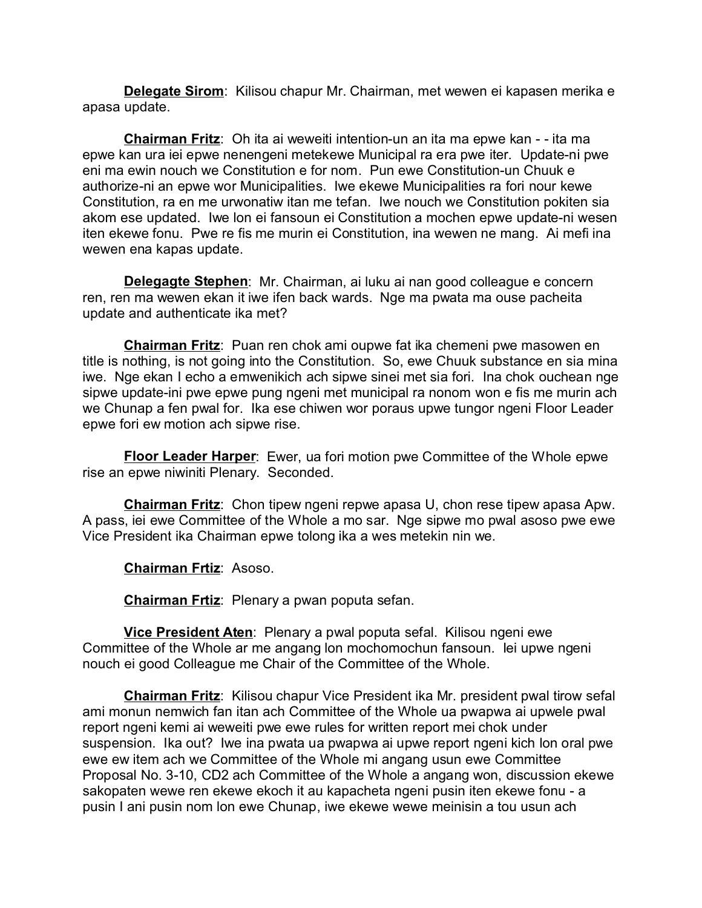**Delegate Sirom**: Kilisou chapur Mr. Chairman, met wewen ei kapasen merika e apasa update.

**Chairman Fritz**: Oh ita ai weweiti intention-un an ita ma epwe kan - - ita ma epwe kan ura iei epwe nenengeni metekewe Municipal ra era pwe iter. Update-ni pwe eni ma ewin nouch we Constitution e for nom. Pun ewe Constitution-un Chuuk e authorize-ni an epwe wor Municipalities. Iwe ekewe Municipalities ra fori nour kewe Constitution, ra en me urwonatiw itan me tefan. Iwe nouch we Constitution pokiten sia akom ese updated. Iwe lon ei fansoun ei Constitution a mochen epwe update-ni wesen iten ekewe fonu. Pwe re fis me murin ei Constitution, ina wewen ne mang. Ai mefi ina wewen ena kapas update.

**Delegagte Stephen**: Mr. Chairman, ai luku ai nan good colleague e concern ren, ren ma wewen ekan it iwe ifen back wards. Nge ma pwata ma ouse pacheita update and authenticate ika met?

**Chairman Fritz**: Puan ren chok ami oupwe fat ika chemeni pwe masowen en title is nothing, is not going into the Constitution. So, ewe Chuuk substance en sia mina iwe. Nge ekan I echo a emwenikich ach sipwe sinei met sia fori. Ina chok ouchean nge sipwe update-ini pwe epwe pung ngeni met municipal ra nonom won e fis me murin ach we Chunap a fen pwal for. Ika ese chiwen wor poraus upwe tungor ngeni Floor Leader epwe fori ew motion ach sipwe rise.

**Floor Leader Harper**: Ewer, ua fori motion pwe Committee of the Whole epwe rise an epwe niwiniti Plenary. Seconded.

**Chairman Fritz**: Chon tipew ngeni repwe apasa U, chon rese tipew apasa Apw. A pass, iei ewe Committee of the Whole a mo sar. Nge sipwe mo pwal asoso pwe ewe Vice President ika Chairman epwe tolong ika a wes metekin nin we.

**Chairman Frtiz**: Asoso.

**Chairman Frtiz**: Plenary a pwan poputa sefan.

**Vice President Aten**: Plenary a pwal poputa sefal. Kilisou ngeni ewe Committee of the Whole ar me angang lon mochomochun fansoun. Iei upwe ngeni nouch ei good Colleague me Chair of the Committee of the Whole.

**Chairman Fritz**: Kilisou chapur Vice President ika Mr. president pwal tirow sefal ami monun nemwich fan itan ach Committee of the Whole ua pwapwa ai upwele pwal report ngeni kemi ai weweiti pwe ewe rules for written report mei chok under suspension. Ika out? Iwe ina pwata ua pwapwa ai upwe report ngeni kich lon oral pwe ewe ew item ach we Committee of the Whole mi angang usun ewe Committee Proposal No. 3-10, CD2 ach Committee of the Whole a angang won, discussion ekewe sakopaten wewe ren ekewe ekoch it au kapacheta ngeni pusin iten ekewe fonu - a pusin I ani pusin nom lon ewe Chunap, iwe ekewe wewe meinisin a tou usun ach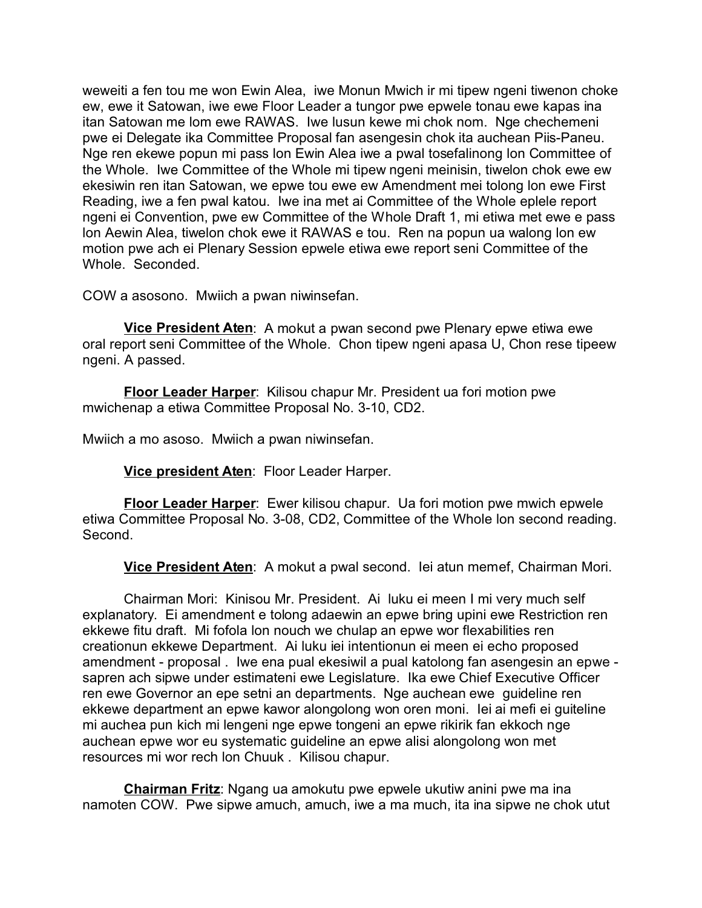weweiti a fen tou me won Ewin Alea, iwe Monun Mwich ir mi tipew ngeni tiwenon choke ew, ewe it Satowan, iwe ewe Floor Leader a tungor pwe epwele tonau ewe kapas ina itan Satowan me lom ewe RAWAS. Iwe lusun kewe mi chok nom. Nge chechemeni pwe ei Delegate ika Committee Proposal fan asengesin chok ita auchean Piis-Paneu. Nge ren ekewe popun mi pass lon Ewin Alea iwe a pwal tosefalinong lon Committee of the Whole. Iwe Committee of the Whole mi tipew ngeni meinisin, tiwelon chok ewe ew ekesiwin ren itan Satowan, we epwe tou ewe ew Amendment mei tolong lon ewe First Reading, iwe a fen pwal katou. Iwe ina met ai Committee of the Whole eplele report ngeni ei Convention, pwe ew Committee of the Whole Draft 1, mi etiwa met ewe e pass lon Aewin Alea, tiwelon chok ewe it RAWAS e tou. Ren na popun ua walong lon ew motion pwe ach ei Plenary Session epwele etiwa ewe report seni Committee of the Whole. Seconded.

COW a asosono. Mwiich a pwan niwinsefan.

**Vice President Aten**: A mokut a pwan second pwe Plenary epwe etiwa ewe oral report seni Committee of the Whole. Chon tipew ngeni apasa U, Chon rese tipeew ngeni. A passed.

**Floor Leader Harper**: Kilisou chapur Mr. President ua fori motion pwe mwichenap a etiwa Committee Proposal No. 3-10, CD2.

Mwiich a mo asoso. Mwiich a pwan niwinsefan.

**Vice president Aten**: Floor Leader Harper.

**Floor Leader Harper**: Ewer kilisou chapur. Ua fori motion pwe mwich epwele etiwa Committee Proposal No. 3-08, CD2, Committee of the Whole lon second reading. Second.

**Vice President Aten**: A mokut a pwal second. Iei atun memef, Chairman Mori.

Chairman Mori: Kinisou Mr. President. Ai luku ei meen I mi very much self explanatory. Ei amendment e tolong adaewin an epwe bring upini ewe Restriction ren ekkewe fitu draft. Mi fofola lon nouch we chulap an epwe wor flexabilities ren creationun ekkewe Department. Ai luku iei intentionun ei meen ei echo proposed amendment - proposal . Iwe ena pual ekesiwil a pual katolong fan asengesin an epwe sapren ach sipwe under estimateni ewe Legislature. Ika ewe Chief Executive Officer ren ewe Governor an epe setni an departments. Nge auchean ewe guideline ren ekkewe department an epwe kawor alongolong won oren moni. Iei ai mefi ei guiteline mi auchea pun kich mi lengeni nge epwe tongeni an epwe rikirik fan ekkoch nge auchean epwe wor eu systematic guideline an epwe alisi alongolong won met resources mi wor rech lon Chuuk . Kilisou chapur.

**Chairman Fritz**: Ngang ua amokutu pwe epwele ukutiw anini pwe ma ina namoten COW. Pwe sipwe amuch, amuch, iwe a ma much, ita ina sipwe ne chok utut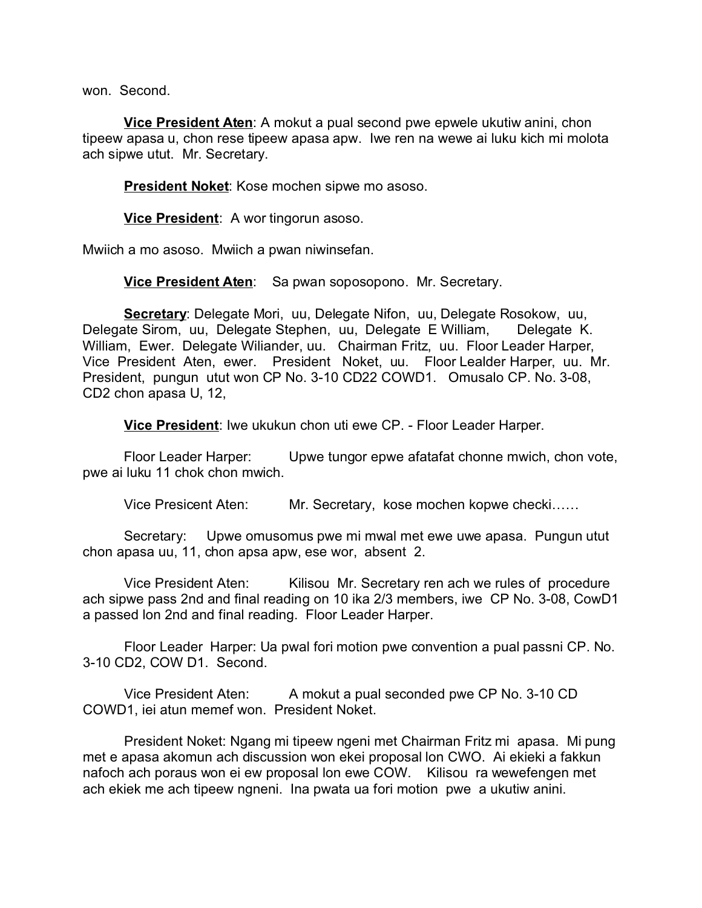won. Second.

**Vice President Aten**: A mokut a pual second pwe epwele ukutiw anini, chon tipeew apasa u, chon rese tipeew apasa apw. Iwe ren na wewe ai luku kich mi molota ach sipwe utut. Mr. Secretary.

**President Noket**: Kose mochen sipwe mo asoso.

**Vice President**: A wor tingorun asoso.

Mwiich a mo asoso. Mwiich a pwan niwinsefan.

**Vice President Aten**: Sa pwan soposopono. Mr. Secretary.

**Secretary**: Delegate Mori, uu, Delegate Nifon, uu, Delegate Rosokow, uu, Delegate Sirom, uu, Delegate Stephen, uu, Delegate E William, Delegate K. William, Ewer. Delegate Wiliander, uu. Chairman Fritz, uu. Floor Leader Harper, Vice President Aten, ewer. President Noket, uu. Floor Lealder Harper, uu. Mr. President, pungun utut won CP No. 3-10 CD22 COWD1. Omusalo CP. No. 3-08, CD2 chon apasa U, 12,

**Vice President**: Iwe ukukun chon uti ewe CP. - Floor Leader Harper.

Floor Leader Harper: Upwe tungor epwe afatafat chonne mwich, chon vote, pwe ai luku 11 chok chon mwich.

Vice Presicent Aten: Mr. Secretary, kose mochen kopwe checki……

Secretary: Upwe omusomus pwe mi mwal met ewe uwe apasa. Pungun utut chon apasa uu, 11, chon apsa apw, ese wor, absent 2.

Vice President Aten: Kilisou Mr. Secretary ren ach we rules of procedure ach sipwe pass 2nd and final reading on 10 ika 2/3 members, iwe CP No. 3-08, CowD1 a passed lon 2nd and final reading. Floor Leader Harper.

Floor Leader Harper: Ua pwal fori motion pwe convention a pual passni CP. No. 3-10 CD2, COW D1. Second.

Vice President Aten: A mokut a pual seconded pwe CP No. 3-10 CD COWD1, iei atun memef won. President Noket.

President Noket: Ngang mi tipeew ngeni met Chairman Fritz mi apasa. Mi pung met e apasa akomun ach discussion won ekei proposal lon CWO. Ai ekieki a fakkun nafoch ach poraus won ei ew proposal lon ewe COW. Kilisou ra wewefengen met ach ekiek me ach tipeew ngneni. Ina pwata ua fori motion pwe a ukutiw anini.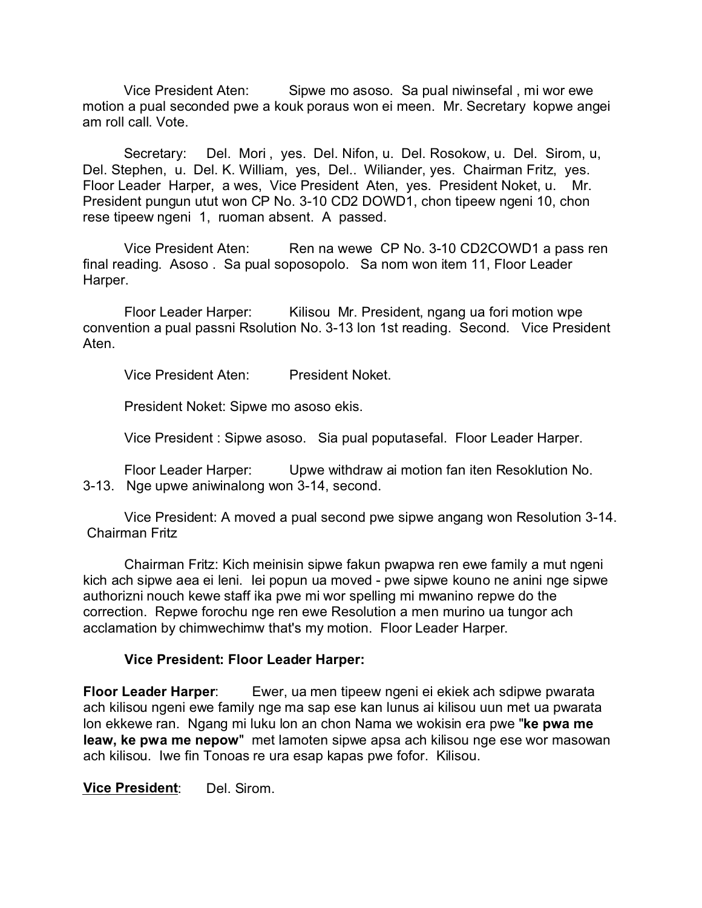Vice President Aten: Sipwe mo asoso. Sa pual niwinsefal , mi wor ewe motion a pual seconded pwe a kouk poraus won ei meen. Mr. Secretary kopwe angei am roll call. Vote.

Secretary: Del. Mori , yes. Del. Nifon, u. Del. Rosokow, u. Del. Sirom, u, Del. Stephen, u. Del. K. William, yes, Del.. Wiliander, yes. Chairman Fritz, yes. Floor Leader Harper, a wes, Vice President Aten, yes. President Noket, u. Mr. President pungun utut won CP No. 3-10 CD2 DOWD1, chon tipeew ngeni 10, chon rese tipeew ngeni 1, ruoman absent. A passed.

Vice President Aten: Ren na wewe CP No. 3-10 CD2COWD1 a pass ren final reading. Asoso . Sa pual soposopolo. Sa nom won item 11, Floor Leader Harper.

Floor Leader Harper: Kilisou Mr. President, ngang ua fori motion wpe convention a pual passni Rsolution No. 3-13 lon 1st reading. Second. Vice President Aten.

Vice President Aten: President Noket.

President Noket: Sipwe mo asoso ekis.

Vice President : Sipwe asoso. Sia pual poputasefal. Floor Leader Harper.

Floor Leader Harper: Upwe withdraw ai motion fan iten Resoklution No. 3-13. Nge upwe aniwinalong won 3-14, second.

Vice President: A moved a pual second pwe sipwe angang won Resolution 3-14. Chairman Fritz

Chairman Fritz: Kich meinisin sipwe fakun pwapwa ren ewe family a mut ngeni kich ach sipwe aea ei leni. Iei popun ua moved - pwe sipwe kouno ne anini nge sipwe authorizni nouch kewe staff ika pwe mi wor spelling mi mwanino repwe do the correction. Repwe forochu nge ren ewe Resolution a men murino ua tungor ach acclamation by chimwechimw that's my motion. Floor Leader Harper.

#### **Vice President: Floor Leader Harper:**

**Floor Leader Harper**: Ewer, ua men tipeew ngeni ei ekiek ach sdipwe pwarata ach kilisou ngeni ewe family nge ma sap ese kan lunus ai kilisou uun met ua pwarata lon ekkewe ran. Ngang mi luku lon an chon Nama we wokisin era pwe "**ke pwa me leaw, ke pwa me nepow**" met lamoten sipwe apsa ach kilisou nge ese wor masowan ach kilisou. Iwe fin Tonoas re ura esap kapas pwe fofor. Kilisou.

**Vice President**: Del. Sirom.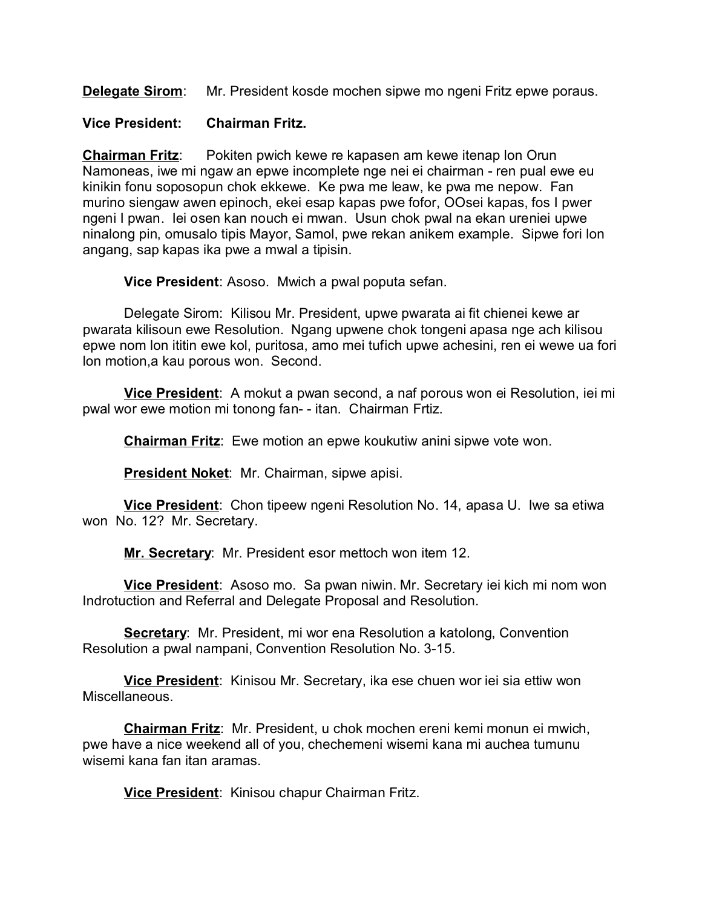**Delegate Sirom**: Mr. President kosde mochen sipwe mo ngeni Fritz epwe poraus.

### **Vice President: Chairman Fritz.**

**Chairman Fritz**: Pokiten pwich kewe re kapasen am kewe itenap lon Orun Namoneas, iwe mi ngaw an epwe incomplete nge nei ei chairman - ren pual ewe eu kinikin fonu soposopun chok ekkewe. Ke pwa me leaw, ke pwa me nepow. Fan murino siengaw awen epinoch, ekei esap kapas pwe fofor, OOsei kapas, fos I pwer ngeni I pwan. Iei osen kan nouch ei mwan. Usun chok pwal na ekan ureniei upwe ninalong pin, omusalo tipis Mayor, Samol, pwe rekan anikem example. Sipwe fori lon angang, sap kapas ika pwe a mwal a tipisin.

**Vice President**: Asoso. Mwich a pwal poputa sefan.

Delegate Sirom: Kilisou Mr. President, upwe pwarata ai fit chienei kewe ar pwarata kilisoun ewe Resolution. Ngang upwene chok tongeni apasa nge ach kilisou epwe nom lon ititin ewe kol, puritosa, amo mei tufich upwe achesini, ren ei wewe ua fori lon motion,a kau porous won. Second.

**Vice President**: A mokut a pwan second, a naf porous won ei Resolution, iei mi pwal wor ewe motion mi tonong fan- - itan. Chairman Frtiz.

**Chairman Fritz**: Ewe motion an epwe koukutiw anini sipwe vote won.

**President Noket**: Mr. Chairman, sipwe apisi.

**Vice President**: Chon tipeew ngeni Resolution No. 14, apasa U. Iwe sa etiwa won No. 12? Mr. Secretary.

**Mr. Secretary**: Mr. President esor mettoch won item 12.

**Vice President**: Asoso mo. Sa pwan niwin. Mr. Secretary iei kich mi nom won Indrotuction and Referral and Delegate Proposal and Resolution.

**Secretary**: Mr. President, mi wor ena Resolution a katolong, Convention Resolution a pwal nampani, Convention Resolution No. 3-15.

**Vice President**: Kinisou Mr. Secretary, ika ese chuen wor iei sia ettiw won Miscellaneous.

**Chairman Fritz**: Mr. President, u chok mochen ereni kemi monun ei mwich, pwe have a nice weekend all of you, chechemeni wisemi kana mi auchea tumunu wisemi kana fan itan aramas.

**Vice President**: Kinisou chapur Chairman Fritz.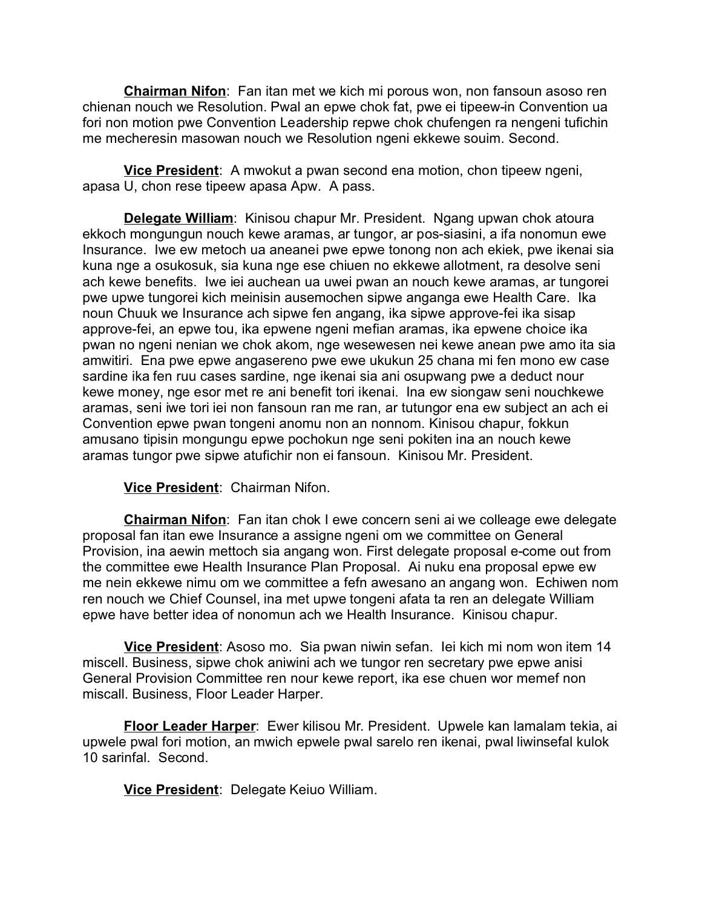**Chairman Nifon**: Fan itan met we kich mi porous won, non fansoun asoso ren chienan nouch we Resolution. Pwal an epwe chok fat, pwe ei tipeew-in Convention ua fori non motion pwe Convention Leadership repwe chok chufengen ra nengeni tufichin me mecheresin masowan nouch we Resolution ngeni ekkewe souim. Second.

**Vice President**: A mwokut a pwan second ena motion, chon tipeew ngeni, apasa U, chon rese tipeew apasa Apw. A pass.

**Delegate William**: Kinisou chapur Mr. President. Ngang upwan chok atoura ekkoch mongungun nouch kewe aramas, ar tungor, ar pos-siasini, a ifa nonomun ewe Insurance. Iwe ew metoch ua aneanei pwe epwe tonong non ach ekiek, pwe ikenai sia kuna nge a osukosuk, sia kuna nge ese chiuen no ekkewe allotment, ra desolve seni ach kewe benefits. Iwe iei auchean ua uwei pwan an nouch kewe aramas, ar tungorei pwe upwe tungorei kich meinisin ausemochen sipwe anganga ewe Health Care. Ika noun Chuuk we Insurance ach sipwe fen angang, ika sipwe approve-fei ika sisap approve-fei, an epwe tou, ika epwene ngeni mefian aramas, ika epwene choice ika pwan no ngeni nenian we chok akom, nge wesewesen nei kewe anean pwe amo ita sia amwitiri. Ena pwe epwe angasereno pwe ewe ukukun 25 chana mi fen mono ew case sardine ika fen ruu cases sardine, nge ikenai sia ani osupwang pwe a deduct nour kewe money, nge esor met re ani benefit tori ikenai. Ina ew siongaw seni nouchkewe aramas, seni iwe tori iei non fansoun ran me ran, ar tutungor ena ew subject an ach ei Convention epwe pwan tongeni anomu non an nonnom. Kinisou chapur, fokkun amusano tipisin mongungu epwe pochokun nge seni pokiten ina an nouch kewe aramas tungor pwe sipwe atufichir non ei fansoun. Kinisou Mr. President.

# **Vice President**: Chairman Nifon.

**Chairman Nifon**: Fan itan chok I ewe concern seni ai we colleage ewe delegate proposal fan itan ewe Insurance a assigne ngeni om we committee on General Provision, ina aewin mettoch sia angang won. First delegate proposal e-come out from the committee ewe Health Insurance Plan Proposal. Ai nuku ena proposal epwe ew me nein ekkewe nimu om we committee a fefn awesano an angang won. Echiwen nom ren nouch we Chief Counsel, ina met upwe tongeni afata ta ren an delegate William epwe have better idea of nonomun ach we Health Insurance. Kinisou chapur.

**Vice President**: Asoso mo. Sia pwan niwin sefan. Iei kich mi nom won item 14 miscell. Business, sipwe chok aniwini ach we tungor ren secretary pwe epwe anisi General Provision Committee ren nour kewe report, ika ese chuen wor memef non miscall. Business, Floor Leader Harper.

**Floor Leader Harper**: Ewer kilisou Mr. President. Upwele kan lamalam tekia, ai upwele pwal fori motion, an mwich epwele pwal sarelo ren ikenai, pwal liwinsefal kulok 10 sarinfal. Second.

**Vice President**: Delegate Keiuo William.